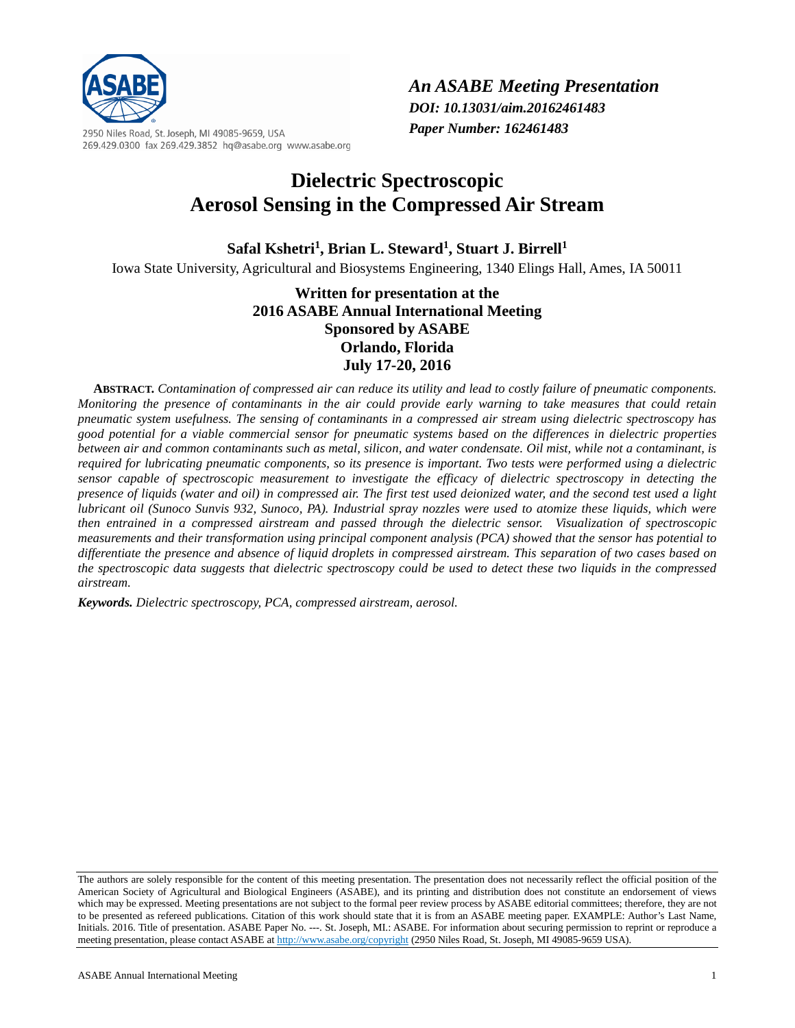

2950 Niles Road, St. Joseph, MI 49085-9659, USA 269.429.0300 fax 269.429.3852 hq@asabe.org www.asabe.org

# **Dielectric Spectroscopic Aerosol Sensing in the Compressed Air Stream**

Safal Kshetri<sup>1</sup>, Brian L. Steward<sup>1</sup>, Stuart J. Birrell<sup>1</sup> Iowa State University, Agricultural and Biosystems Engineering, 1340 Elings Hall, Ames, IA 50011

## **Written for presentation at the 2016 ASABE Annual International Meeting Sponsored by ASABE Orlando, Florida July 17-20, 2016**

**ABSTRACT.** *Contamination of compressed air can reduce its utility and lead to costly failure of pneumatic components. Monitoring the presence of contaminants in the air could provide early warning to take measures that could retain pneumatic system usefulness. The sensing of contaminants in a compressed air stream using dielectric spectroscopy has good potential for a viable commercial sensor for pneumatic systems based on the differences in dielectric properties between air and common contaminants such as metal, silicon, and water condensate. Oil mist, while not a contaminant, is required for lubricating pneumatic components, so its presence is important. Two tests were performed using a dielectric sensor capable of spectroscopic measurement to investigate the efficacy of dielectric spectroscopy in detecting the presence of liquids (water and oil) in compressed air. The first test used deionized water, and the second test used a light lubricant oil (Sunoco Sunvis 932, Sunoco, PA). Industrial spray nozzles were used to atomize these liquids, which were then entrained in a compressed airstream and passed through the dielectric sensor. Visualization of spectroscopic measurements and their transformation using principal component analysis (PCA) showed that the sensor has potential to differentiate the presence and absence of liquid droplets in compressed airstream. This separation of two cases based on the spectroscopic data suggests that dielectric spectroscopy could be used to detect these two liquids in the compressed airstream.*

*Keywords. Dielectric spectroscopy, PCA, compressed airstream, aerosol.*

<span id="page-0-0"></span>The authors are solely responsible for the content of this meeting presentation. The presentation does not necessarily reflect the official position of the American Society of Agricultural and Biological Engineers (ASABE), and its printing and distribution does not constitute an endorsement of views which may be expressed. Meeting presentations are not subject to the formal peer review process by ASABE editorial committees; therefore, they are not to be presented as refereed publications. Citation of this work should state that it is from an ASABE meeting paper. EXAMPLE: Author's Last Name, Initials. 2016. Title of presentation. ASABE Paper No. ---. St. Joseph, MI.: ASABE. For information about securing permission to reprint or reproduce a meeting presentation, please contact ASABE a[t http://www.asabe.org/copyright](http://www.asabe.org/copyright) (2950 Niles Road, St. Joseph, MI 49085-9659 USA).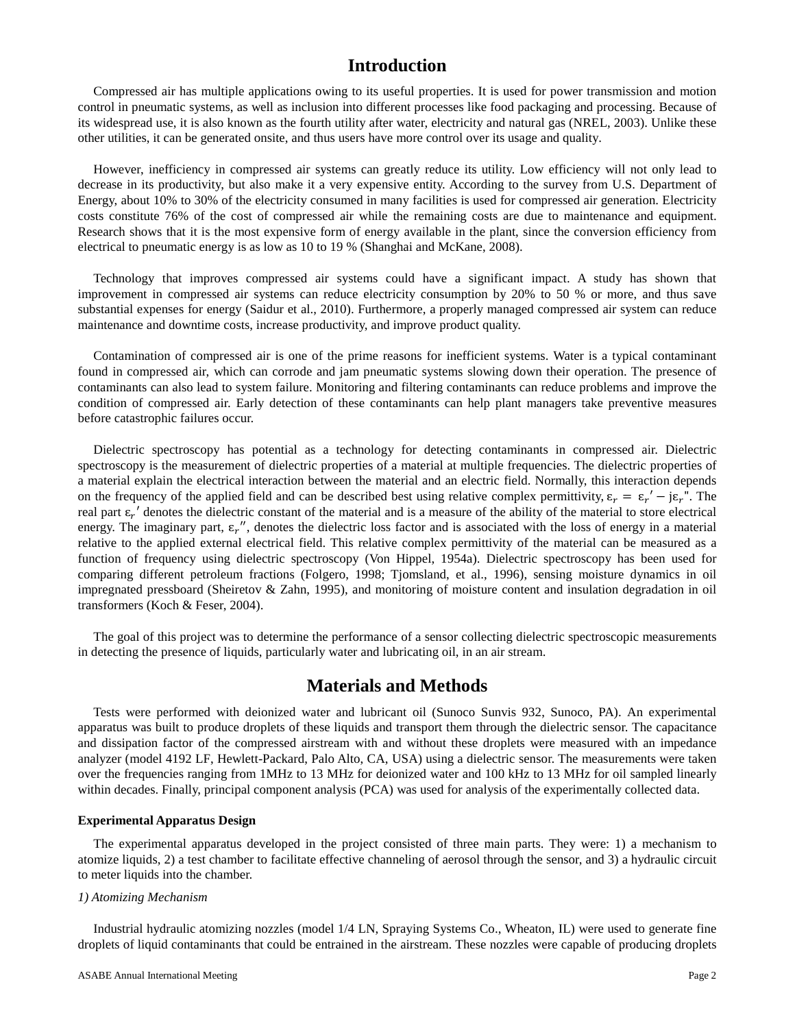## **Introduction**

Compressed air has multiple applications owing to its useful properties. It is used for power transmission and motion control in pneumatic systems, as well as inclusion into different processes like food packaging and processing. Because of its widespread use, it is also known as the fourth utility after water, electricity and natural gas (NREL, 2003). Unlike these other utilities, it can be generated onsite, and thus users have more control over its usage and quality.

However, inefficiency in compressed air systems can greatly reduce its utility. Low efficiency will not only lead to decrease in its productivity, but also make it a very expensive entity. According to the survey from U.S. Department of Energy, about 10% to 30% of the electricity consumed in many facilities is used for compressed air generation. Electricity costs constitute 76% of the cost of compressed air while the remaining costs are due to maintenance and equipment. Research shows that it is the most expensive form of energy available in the plant, since the conversion efficiency from electrical to pneumatic energy is as low as 10 to 19 % (Shanghai and McKane, 2008).

Technology that improves compressed air systems could have a significant impact. A study has shown that improvement in compressed air systems can reduce electricity consumption by 20% to 50 % or more, and thus save substantial expenses for energy (Saidur et al., 2010). Furthermore, a properly managed compressed air system can reduce maintenance and downtime costs, increase productivity, and improve product quality.

Contamination of compressed air is one of the prime reasons for inefficient systems. Water is a typical contaminant found in compressed air, which can corrode and jam pneumatic systems slowing down their operation. The presence of contaminants can also lead to system failure. Monitoring and filtering contaminants can reduce problems and improve the condition of compressed air. Early detection of these contaminants can help plant managers take preventive measures before catastrophic failures occur.

Dielectric spectroscopy has potential as a technology for detecting contaminants in compressed air. Dielectric spectroscopy is the measurement of dielectric properties of a material at multiple frequencies. The dielectric properties of a material explain the electrical interaction between the material and an electric field. Normally, this interaction depends on the frequency of the applied field and can be described best using relative complex permittivity,  $\varepsilon_r = \varepsilon_r' - j\varepsilon_r''$ . The real part  $\epsilon_r'$  denotes the dielectric constant of the material and is a measure of the ability of the material to store electrical energy. The imaginary part,  $\varepsilon_r''$ , denotes the dielectric loss factor and is associated with the loss of energy in a material relative to the applied external electrical field. This relative complex permittivity of the material can be measured as a function of frequency using dielectric spectroscopy (Von Hippel, 1954a). Dielectric spectroscopy has been used for comparing different petroleum fractions (Folgero, 1998; Tjomsland, et al., 1996), sensing moisture dynamics in oil impregnated pressboard (Sheiretov & Zahn, 1995), and monitoring of moisture content and insulation degradation in oil transformers (Koch & Feser, 2004).

The goal of this project was to determine the performance of a sensor collecting dielectric spectroscopic measurements in detecting the presence of liquids, particularly water and lubricating oil, in an air stream.

### **Materials and Methods**

Tests were performed with deionized water and lubricant oil (Sunoco Sunvis 932, Sunoco, PA). An experimental apparatus was built to produce droplets of these liquids and transport them through the dielectric sensor. The capacitance and dissipation factor of the compressed airstream with and without these droplets were measured with an impedance analyzer (model 4192 LF, Hewlett-Packard, Palo Alto, CA, USA) using a dielectric sensor. The measurements were taken over the frequencies ranging from 1MHz to 13 MHz for deionized water and 100 kHz to 13 MHz for oil sampled linearly within decades. Finally, principal component analysis (PCA) was used for analysis of the experimentally collected data.

#### **Experimental Apparatus Design**

The experimental apparatus developed in the project consisted of three main parts. They were: 1) a mechanism to atomize liquids, 2) a test chamber to facilitate effective channeling of aerosol through the sensor, and 3) a hydraulic circuit to meter liquids into the chamber.

#### *1) Atomizing Mechanism*

Industrial hydraulic atomizing nozzles (model 1/4 LN, Spraying Systems Co., Wheaton, IL) were used to generate fine droplets of liquid contaminants that could be entrained in the airstream. These nozzles were capable of producing droplets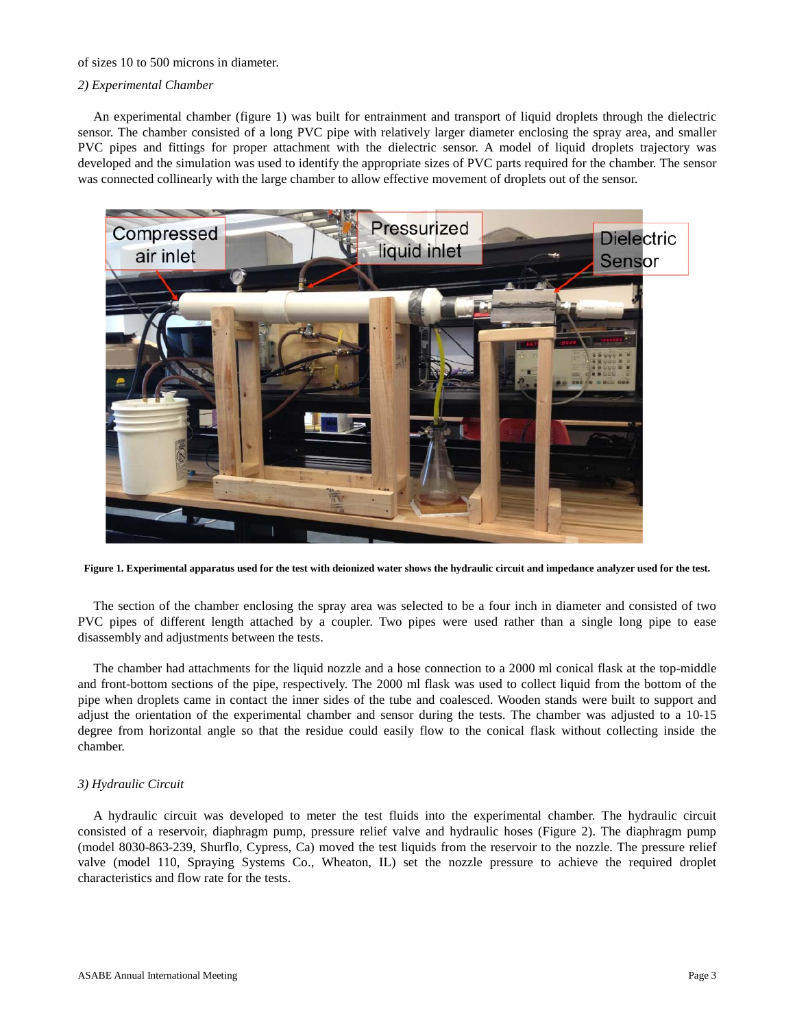#### of sizes 10 to 500 microns in diameter.

#### *2) Experimental Chamber*

An experimental chamber (figure 1) was built for entrainment and transport of liquid droplets through the dielectric sensor. The chamber consisted of a long PVC pipe with relatively larger diameter enclosing the spray area, and smaller PVC pipes and fittings for proper attachment with the dielectric sensor. A model of liquid droplets trajectory was developed and the simulation was used to identify the appropriate sizes of PVC parts required for the chamber. The sensor was connected collinearly with the large chamber to allow effective movement of droplets out of the sensor.



**Figure 1. Experimental apparatus used for the test with deionized water shows the hydraulic circuit and impedance analyzer used for the test.**

The section of the chamber enclosing the spray area was selected to be a four inch in diameter and consisted of two PVC pipes of different length attached by a coupler. Two pipes were used rather than a single long pipe to ease disassembly and adjustments between the tests.

The chamber had attachments for the liquid nozzle and a hose connection to a 2000 ml conical flask at the top-middle and front-bottom sections of the pipe, respectively. The 2000 ml flask was used to collect liquid from the bottom of the pipe when droplets came in contact the inner sides of the tube and coalesced. Wooden stands were built to support and adjust the orientation of the experimental chamber and sensor during the tests. The chamber was adjusted to a 10-15 degree from horizontal angle so that the residue could easily flow to the conical flask without collecting inside the chamber.

#### *3) Hydraulic Circuit*

A hydraulic circuit was developed to meter the test fluids into the experimental chamber. The hydraulic circuit consisted of a reservoir, diaphragm pump, pressure relief valve and hydraulic hoses (Figure 2). The diaphragm pump (model 8030-863-239, Shurflo, Cypress, Ca) moved the test liquids from the reservoir to the nozzle. The pressure relief valve (model 110, Spraying Systems Co., Wheaton, IL) set the nozzle pressure to achieve the required droplet characteristics and flow rate for the tests.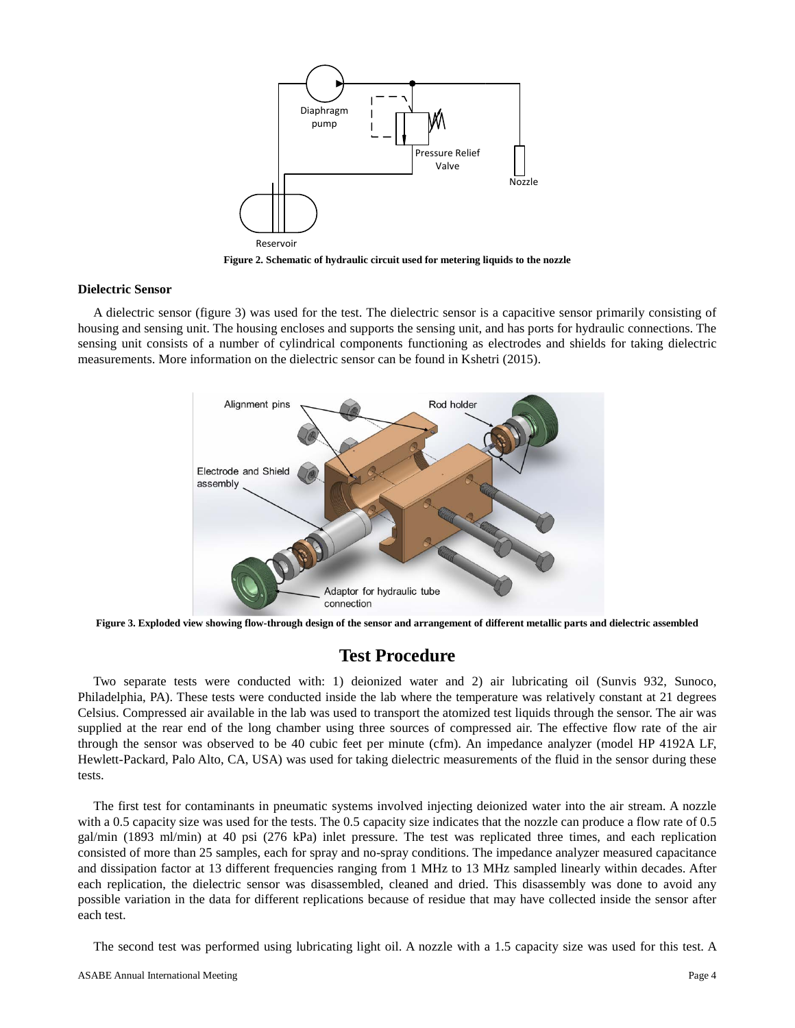

**Figure 2. Schematic of hydraulic circuit used for metering liquids to the nozzle**

#### **Dielectric Sensor**

A dielectric sensor (figure 3) was used for the test. The dielectric sensor is a capacitive sensor primarily consisting of housing and sensing unit. The housing encloses and supports the sensing unit, and has ports for hydraulic connections. The sensing unit consists of a number of cylindrical components functioning as electrodes and shields for taking dielectric measurements. More information on the dielectric sensor can be found in Kshetri (2015).



**Figure 3. Exploded view showing flow-through design of the sensor and arrangement of different metallic parts and dielectric assembled**

### **Test Procedure**

Two separate tests were conducted with: 1) deionized water and 2) air lubricating oil (Sunvis 932, Sunoco, Philadelphia, PA). These tests were conducted inside the lab where the temperature was relatively constant at 21 degrees Celsius. Compressed air available in the lab was used to transport the atomized test liquids through the sensor. The air was supplied at the rear end of the long chamber using three sources of compressed air. The effective flow rate of the air through the sensor was observed to be 40 cubic feet per minute (cfm). An impedance analyzer (model HP 4192A LF, Hewlett-Packard, Palo Alto, CA, USA) was used for taking dielectric measurements of the fluid in the sensor during these tests.

The first test for contaminants in pneumatic systems involved injecting deionized water into the air stream. A nozzle with a 0.5 capacity size was used for the tests. The 0.5 capacity size indicates that the nozzle can produce a flow rate of 0.5 gal/min (1893 ml/min) at 40 psi (276 kPa) inlet pressure. The test was replicated three times, and each replication consisted of more than 25 samples, each for spray and no-spray conditions. The impedance analyzer measured capacitance and dissipation factor at 13 different frequencies ranging from 1 MHz to 13 MHz sampled linearly within decades. After each replication, the dielectric sensor was disassembled, cleaned and dried. This disassembly was done to avoid any possible variation in the data for different replications because of residue that may have collected inside the sensor after each test.

The second test was performed using lubricating light oil. A nozzle with a 1.5 capacity size was used for this test. A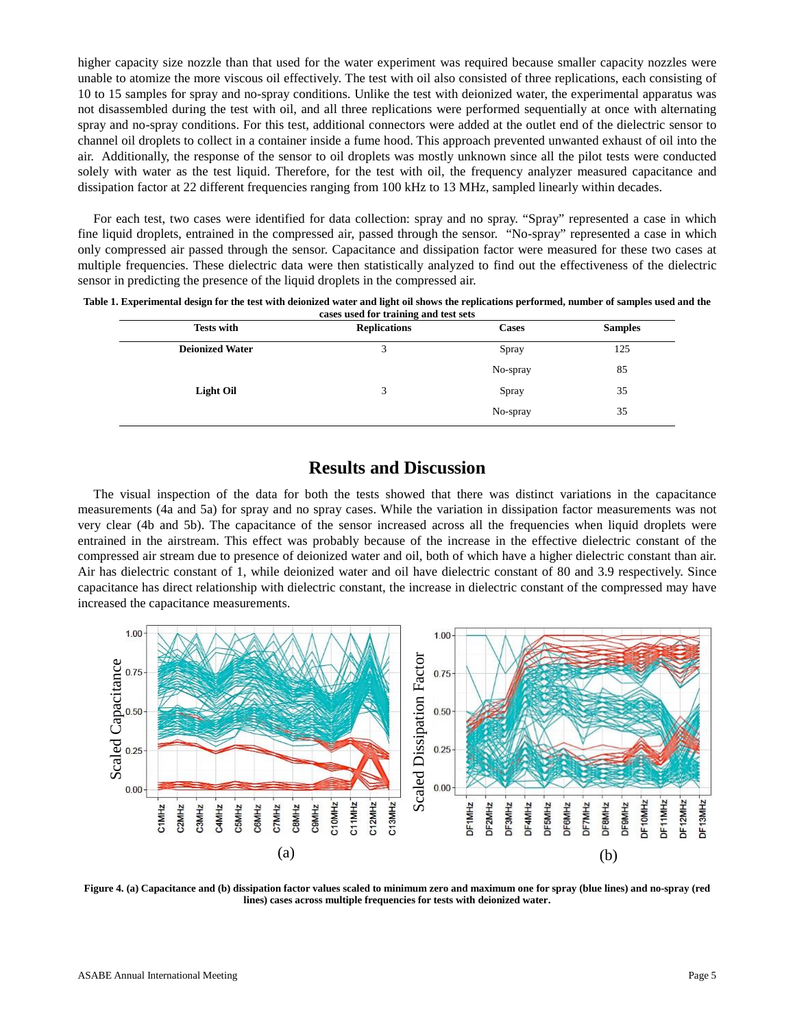higher capacity size nozzle than that used for the water experiment was required because smaller capacity nozzles were unable to atomize the more viscous oil effectively. The test with oil also consisted of three replications, each consisting of 10 to 15 samples for spray and no-spray conditions. Unlike the test with deionized water, the experimental apparatus was not disassembled during the test with oil, and all three replications were performed sequentially at once with alternating spray and no-spray conditions. For this test, additional connectors were added at the outlet end of the dielectric sensor to channel oil droplets to collect in a container inside a fume hood. This approach prevented unwanted exhaust of oil into the air. Additionally, the response of the sensor to oil droplets was mostly unknown since all the pilot tests were conducted solely with water as the test liquid. Therefore, for the test with oil, the frequency analyzer measured capacitance and dissipation factor at 22 different frequencies ranging from 100 kHz to 13 MHz, sampled linearly within decades.

For each test, two cases were identified for data collection: spray and no spray. "Spray" represented a case in which fine liquid droplets, entrained in the compressed air, passed through the sensor. "No-spray" represented a case in which only compressed air passed through the sensor. Capacitance and dissipation factor were measured for these two cases at multiple frequencies. These dielectric data were then statistically analyzed to find out the effectiveness of the dielectric sensor in predicting the presence of the liquid droplets in the compressed air.

| Table 1. Experimental design for the test with deionized water and light oil shows the replications performed, number of samples used and the |  |
|-----------------------------------------------------------------------------------------------------------------------------------------------|--|
| cases used for training and test sets                                                                                                         |  |

| <b>Tests with</b>      | <b>Replications</b> | <b>Cases</b> | <b>Samples</b> |
|------------------------|---------------------|--------------|----------------|
| <b>Deionized Water</b> | 3                   | Spray        | 125            |
|                        |                     | No-spray     | 85             |
| Light Oil              | 3                   | Spray        | 35             |
|                        |                     | No-spray     | 35             |

# **Results and Discussion**

The visual inspection of the data for both the tests showed that there was distinct variations in the capacitance measurements (4a and 5a) for spray and no spray cases. While the variation in dissipation factor measurements was not very clear (4b and 5b). The capacitance of the sensor increased across all the frequencies when liquid droplets were entrained in the airstream. This effect was probably because of the increase in the effective dielectric constant of the compressed air stream due to presence of deionized water and oil, both of which have a higher dielectric constant than air. Air has dielectric constant of 1, while deionized water and oil have dielectric constant of 80 and 3.9 respectively. Since capacitance has direct relationship with dielectric constant, the increase in dielectric constant of the compressed may have increased the capacitance measurements.



**Figure 4. (a) Capacitance and (b) dissipation factor values scaled to minimum zero and maximum one for spray (blue lines) and no-spray (red lines) cases across multiple frequencies for tests with deionized water.**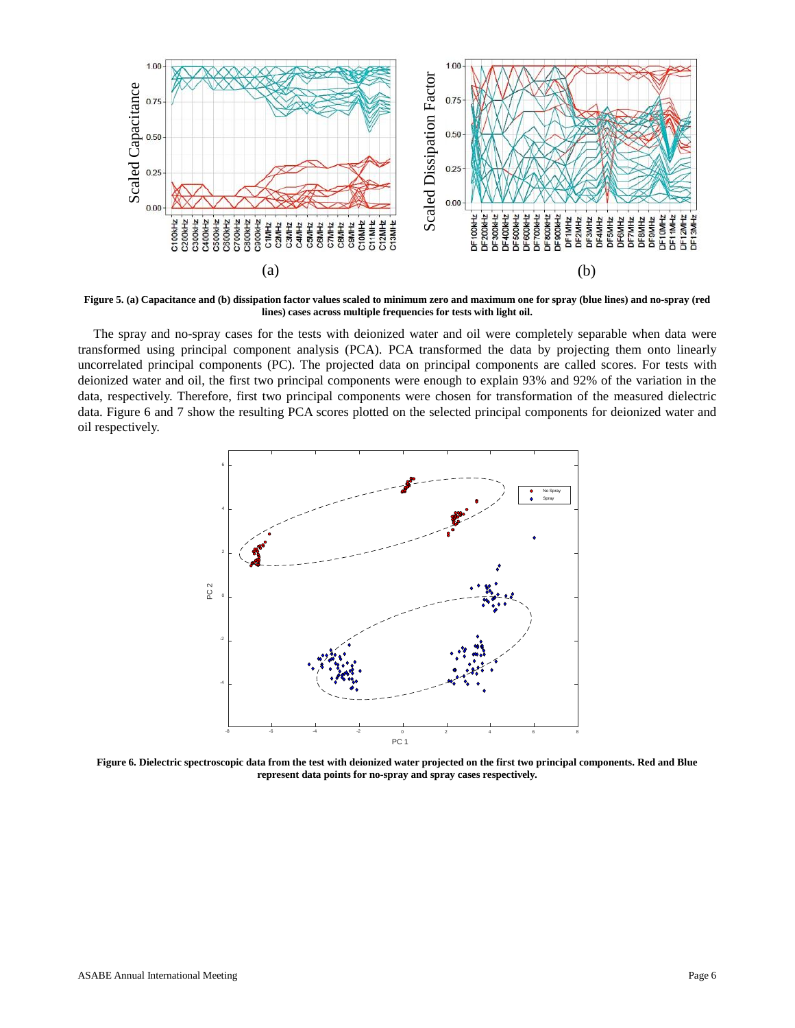

**Figure 5. (a) Capacitance and (b) dissipation factor values scaled to minimum zero and maximum one for spray (blue lines) and no-spray (red lines) cases across multiple frequencies for tests with light oil.**

The spray and no-spray cases for the tests with deionized water and oil were completely separable when data were transformed using principal component analysis (PCA). PCA transformed the data by projecting them onto linearly uncorrelated principal components (PC). The projected data on principal components are called scores. For tests with deionized water and oil, the first two principal components were enough to explain 93% and 92% of the variation in the data, respectively. Therefore, first two principal components were chosen for transformation of the measured dielectric data. Figure 6 and 7 show the resulting PCA scores plotted on the selected principal components for deionized water and oil respectively.



**Figure 6. Dielectric spectroscopic data from the test with deionized water projected on the first two principal components. Red and Blue represent data points for no-spray and spray cases respectively.**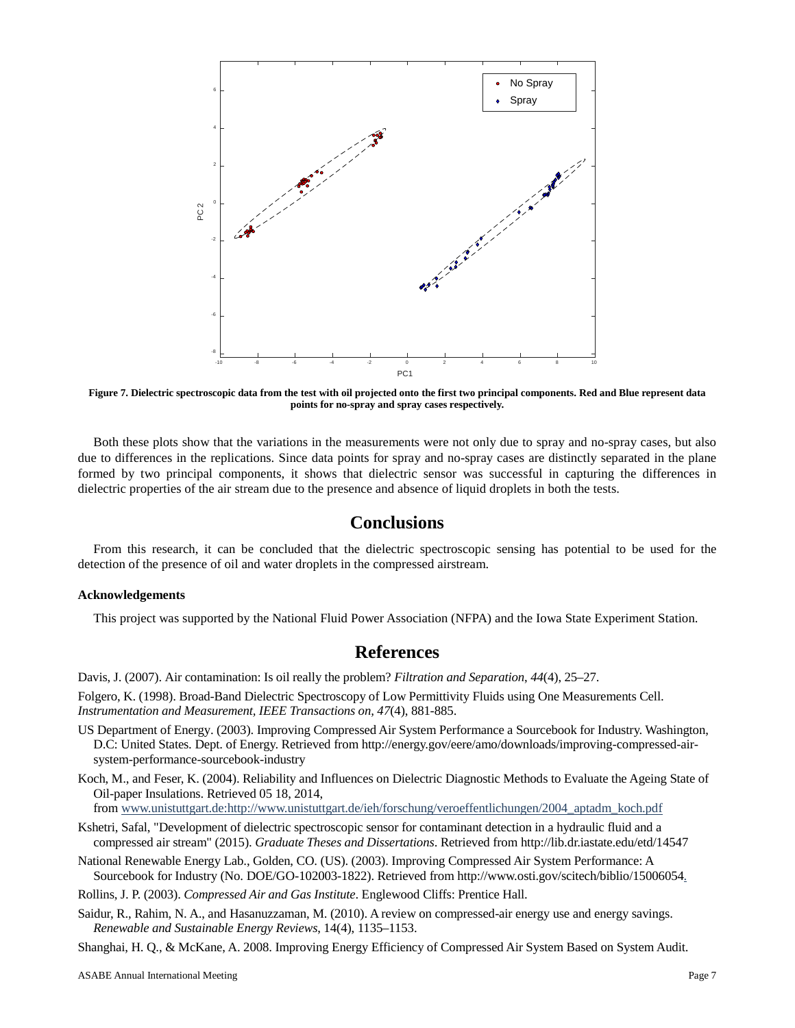

**Figure 7. Dielectric spectroscopic data from the test with oil projected onto the first two principal components. Red and Blue represent data points for no-spray and spray cases respectively.**

Both these plots show that the variations in the measurements were not only due to spray and no-spray cases, but also due to differences in the replications. Since data points for spray and no-spray cases are distinctly separated in the plane formed by two principal components, it shows that dielectric sensor was successful in capturing the differences in dielectric properties of the air stream due to the presence and absence of liquid droplets in both the tests.

### **Conclusions**

From this research, it can be concluded that the dielectric spectroscopic sensing has potential to be used for the detection of the presence of oil and water droplets in the compressed airstream.

#### **Acknowledgements**

This project was supported by the National Fluid Power Association (NFPA) and the Iowa State Experiment Station.

### **References**

Davis, J. (2007). Air contamination: Is oil really the problem? *Filtration and Separation*, *44*(4), 25–27.

Folgero, K. (1998). Broad-Band Dielectric Spectroscopy of Low Permittivity Fluids using One Measurements Cell. *Instrumentation and Measurement, IEEE Transactions on, 47*(4), 881-885.

- US Department of Energy. (2003). Improving Compressed Air System Performance a Sourcebook for Industry. Washington, D.C: United States. Dept. of Energy. Retrieved from http://energy.gov/eere/amo/downloads/improving-compressed-airsystem-performance-sourcebook-industry
- Koch, M., and Feser, K. (2004). Reliability and Influences on Dielectric Diagnostic Methods to Evaluate the Ageing State of Oil-paper Insulations. Retrieved 05 18, 2014,

fro[m www.unistuttgart.de:http://www.unistuttgart.de/ieh/forschung/veroeffentlichungen/2004\\_aptadm\\_koch.pdf](http://www.unistuttgart.de:http:/www.unistuttgart.de/ieh/forschung/veroeffentlichungen/2004_aptadm_koch.pdf)

Kshetri, Safal, "Development of dielectric spectroscopic sensor for contaminant detection in a hydraulic fluid and a compressed air stream" (2015). *Graduate Theses and Dissertations*. Retrieved from http://lib.dr.iastate.edu/etd/14547

National Renewable Energy Lab., Golden, CO. (US). (2003). Improving Compressed Air System Performance: A Sourcebook for Industry (No. DOE/GO-102003-1822). Retrieved from http://www.osti.gov/scitech/biblio/15006054.

Rollins, J. P. (2003). *Compressed Air and Gas Institute*. Englewood Cliffs: Prentice Hall.

Saidur, R., Rahim, N. A., and Hasanuzzaman, M. (2010). A review on compressed-air energy use and energy savings. *Renewable and Sustainable Energy Reviews*, 14(4), 1135–1153.

Shanghai, H. Q., & McKane, A. 2008. Improving Energy Efficiency of Compressed Air System Based on System Audit.